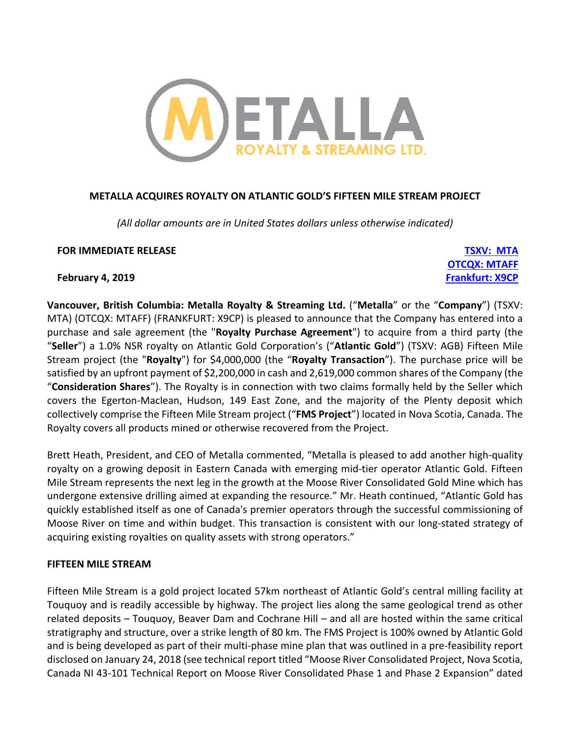

# **METALLA ACQUIRES ROYALTY ON ATLANTIC GOLD'S FIFTEEN MILE STREAM PROJECT**

*(All dollar amounts are in United States dollars unless otherwise indicated)*

#### **FOR IMMEDIATE RELEASE TSXV: MTA**

#### **February 4, 2019 Frankfurt: X9CP**

**OTCQX: MTAFF**

**Vancouver, British Columbia: Metalla Royalty & Streaming Ltd.** ("**Metalla**" or the "**Company**") (TSXV: MTA) (OTCQX: MTAFF) (FRANKFURT: X9CP) is pleased to announce that the Company has entered into a purchase and sale agreement (the "**Royalty Purchase Agreement**") to acquire from a third party (the "**Seller**") a 1.0% NSR royalty on Atlantic Gold Corporation's ("**Atlantic Gold**") (TSXV: AGB) Fifteen Mile Stream project (the "**Royalty**") for \$4,000,000 (the "**Royalty Transaction**"). The purchase price will be satisfied by an upfront payment of \$2,200,000 in cash and 2,619,000 common shares of the Company (the "**Consideration Shares**"). The Royalty is in connection with two claims formally held by the Seller which covers the Egerton-Maclean, Hudson, 149 East Zone, and the majority of the Plenty deposit which collectively comprise the Fifteen Mile Stream project ("**FMS Project**") located in Nova Scotia, Canada. The Royalty covers all products mined or otherwise recovered from the Project.

Brett Heath, President, and CEO of Metalla commented, "Metalla is pleased to add another high-quality royalty on a growing deposit in Eastern Canada with emerging mid-tier operator Atlantic Gold. Fifteen Mile Stream represents the next leg in the growth at the Moose River Consolidated Gold Mine which has undergone extensive drilling aimed at expanding the resource." Mr. Heath continued, "Atlantic Gold has quickly established itself as one of Canada's premier operators through the successful commissioning of Moose River on time and within budget. This transaction is consistent with our long-stated strategy of acquiring existing royalties on quality assets with strong operators."

## **FIFTEEN MILE STREAM**

Fifteen Mile Stream is a gold project located 57km northeast of Atlantic Gold's central milling facility at Touquoy and is readily accessible by highway. The project lies along the same geological trend as other related deposits – Touquoy, Beaver Dam and Cochrane Hill – and all are hosted within the same critical stratigraphy and structure, over a strike length of 80 km. The FMS Project is 100% owned by Atlantic Gold and is being developed as part of their multi-phase mine plan that was outlined in a pre-feasibility report disclosed on January 24, 2018 (see technical report titled "Moose River Consolidated Project, Nova Scotia, Canada NI 43-101 Technical Report on Moose River Consolidated Phase 1 and Phase 2 Expansion" dated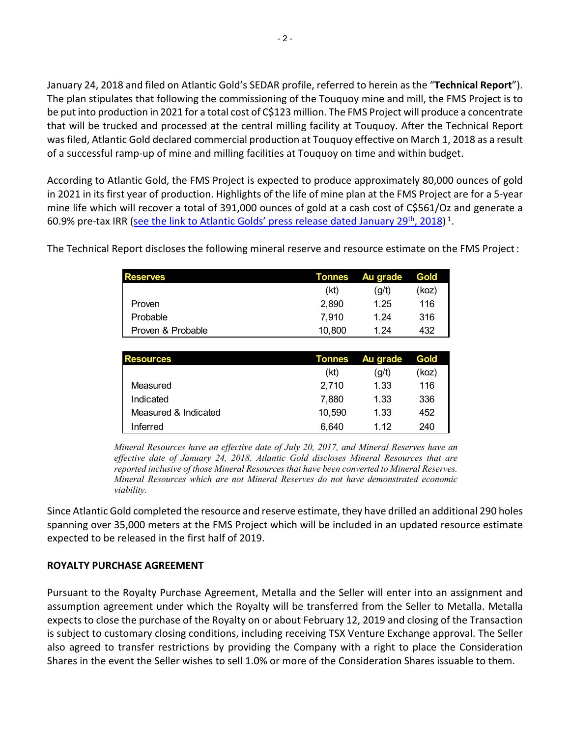January 24, 2018 and filed on Atlantic Gold's SEDAR profile, referred to herein as the "**Technical Report**"). The plan stipulates that following the commissioning of the Touquoy mine and mill, the FMS Project is to be put into production in 2021 for a total cost of C\$123 million. The FMS Project will produce a concentrate that will be trucked and processed at the central milling facility at Touquoy. After the Technical Report was filed, Atlantic Gold declared commercial production at Touquoy effective on March 1, 2018 as a result of a successful ramp-up of mine and milling facilities at Touquoy on time and within budget.

According to Atlantic Gold, the FMS Project is expected to produce approximately 80,000 ounces of gold in 2021 in its first year of production. Highlights of the life of mine plan at the FMS Project are for a 5-year mine life which will recover a total of 391,000 ounces of gold at a cash cost of C\$561/Oz and generate a 60.9% pre-tax IRR (see the link to Atlantic Golds' press release dated January 29<sup>th</sup>, 2018)<sup>1</sup>.

| <b>Reserves</b>   | Tonnes | Au grade | Gold  |
|-------------------|--------|----------|-------|
|                   | (kt)   | (g/t)    | (koz) |
| Proven            | 2,890  | 1.25     | 116   |
| Probable          | 7.910  | 1.24     | 316   |
| Proven & Probable | 10,800 | 1 24     | 432   |

The Technical Report discloses the following mineral reserve and resource estimate on the FMS Project:

| <b>Resources</b>     | Tonnes | Au grade | Gold  |
|----------------------|--------|----------|-------|
|                      | (kt)   | (g/t)    | (koz) |
| Measured             | 2,710  | 1.33     | 116   |
| Indicated            | 7,880  | 1.33     | 336   |
| Measured & Indicated | 10,590 | 1.33     | 452   |
| Inferred             | 6,640  | 1 1 2    | 240   |

*Mineral Resources have an effective date of July 20, 2017, and Mineral Reserves have an effective date of January 24, 2018. Atlantic Gold discloses Mineral Resources that are reported inclusive of those Mineral Resources that have been converted to Mineral Reserves. Mineral Resources which are not Mineral Reserves do not have demonstrated economic viability.* 

Since Atlantic Gold completed the resource and reserve estimate, they have drilled an additional 290 holes spanning over 35,000 meters at the FMS Project which will be included in an updated resource estimate expected to be released in the first half of 2019.

# **ROYALTY PURCHASE AGREEMENT**

Pursuant to the Royalty Purchase Agreement, Metalla and the Seller will enter into an assignment and assumption agreement under which the Royalty will be transferred from the Seller to Metalla. Metalla expects to close the purchase of the Royalty on or about February 12, 2019 and closing of the Transaction is subject to customary closing conditions, including receiving TSX Venture Exchange approval. The Seller also agreed to transfer restrictions by providing the Company with a right to place the Consideration Shares in the event the Seller wishes to sell 1.0% or more of the Consideration Shares issuable to them.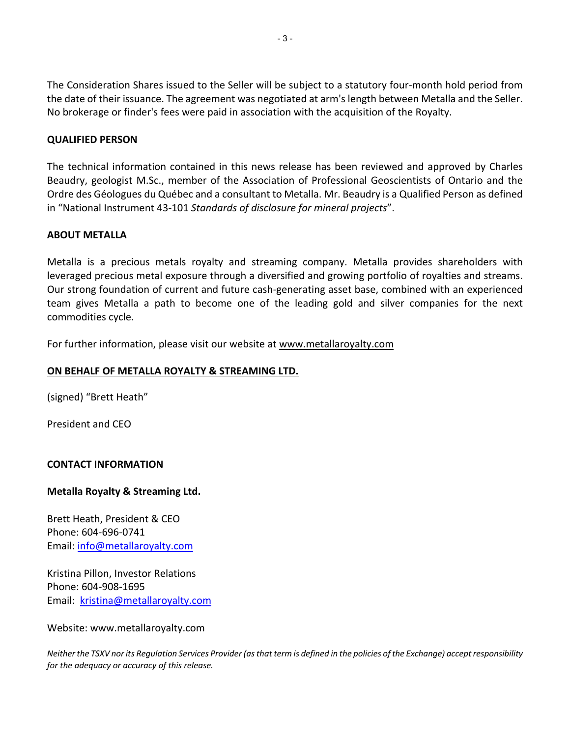The Consideration Shares issued to the Seller will be subject to a statutory four-month hold period from the date of their issuance. The agreement was negotiated at arm's length between Metalla and the Seller. No brokerage or finder's fees were paid in association with the acquisition of the Royalty.

# **QUALIFIED PERSON**

The technical information contained in this news release has been reviewed and approved by Charles Beaudry, geologist M.Sc., member of the Association of Professional Geoscientists of Ontario and the Ordre des Géologues du Québec and a consultant to Metalla. Mr. Beaudry is a Qualified Person as defined in "National Instrument 43-101 *Standards of disclosure for mineral projects*".

# **ABOUT METALLA**

Metalla is a precious metals royalty and streaming company. Metalla provides shareholders with leveraged precious metal exposure through a diversified and growing portfolio of royalties and streams. Our strong foundation of current and future cash-generating asset base, combined with an experienced team gives Metalla a path to become one of the leading gold and silver companies for the next commodities cycle.

For further information, please visit our website at www.metallaroyalty.com

# **ON BEHALF OF METALLA ROYALTY & STREAMING LTD.**

(signed) "Brett Heath"

President and CEO

## **CONTACT INFORMATION**

## **Metalla Royalty & Streaming Ltd.**

Brett Heath, President & CEO Phone: 604-696-0741 Email: info@metallaroyalty.com

Kristina Pillon, Investor Relations Phone: 604-908-1695 Email: kristina@metallaroyalty.com

## Website: www.metallaroyalty.com

*Neither the TSXV nor its Regulation Services Provider (as that term is defined in the policies of the Exchange) accept responsibility for the adequacy or accuracy of this release.*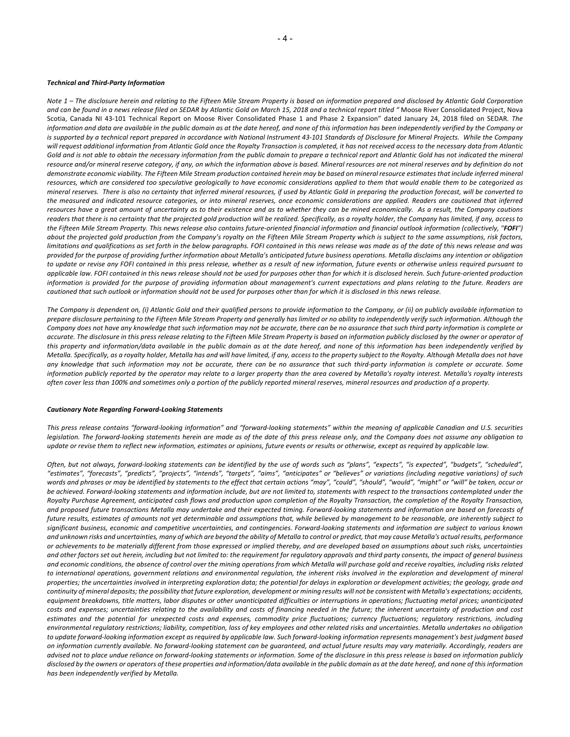#### *Technical and Third-Party Information*

*Note 1 – The disclosure herein and relating to the Fifteen Mile Stream Property is based on information prepared and disclosed by Atlantic Gold Corporation and can be found in a news release filed on SEDAR by Atlantic Gold on March 15, 2018 and a technical report titled "* Moose River Consolidated Project, Nova Scotia, Canada NI 43-101 Technical Report on Moose River Consolidated Phase 1 and Phase 2 Expansion" dated January 24, 2018 filed on SEDAR*. The*  information and data are available in the public domain as at the date hereof, and none of this information has been independently verified by the Company or is supported by a technical report prepared in accordance with National Instrument 43-101 Standards of Disclosure for Mineral Projects. While the Company *will request additional information from Atlantic Gold once the Royalty Transaction is completed, it has not received access to the necessary data from Atlantic Gold and is not able to obtain the necessary information from the public domain to prepare a technical report and Atlantic Gold has not indicated the mineral resource and/or mineral reserve category, if any, on which the information above is based. Mineral resources are not mineral reserves and by definition do not demonstrate economic viability. The Fifteen Mile Stream production contained herein may be based on mineral resource estimates that include inferred mineral resources, which are considered too speculative geologically to have economic considerations applied to them that would enable them to be categorized as mineral reserves. There is also no certainty that inferred mineral resources, if used by Atlantic Gold in preparing the production forecast, will be converted to the measured and indicated resource categories, or into mineral reserves, once economic considerations are applied. Readers are cautioned that inferred resources have a great amount of uncertainty as to their existence and as to whether they can be mined economically. As a result, the Company cautions readers that there is no certainty that the projected gold production will be realized. Specifically, as a royalty holder, the Company has limited, if any, access to the Fifteen Mile Stream Property. This news release also contains future-oriented financial information and financial outlook information (collectively, "FOFI") about the projected gold production from the Company's royalty on the Fifteen Mile Stream Property which is subject to the same assumptions, risk factors, limitations and qualifications as set forth in the below paragraphs. FOFI contained in this news release was made as of the date of this news release and was provided for the purpose of providing further information about Metalla's anticipated future business operations. Metalla disclaims any intention or obligation to update or revise any FOFI contained in this press release, whether as a result of new information, future events or otherwise unless required pursuant to applicable law. FOFI contained in this news release should not be used for purposes other than for which it is disclosed herein. Such future-oriented production information is provided for the purpose of providing information about management's current expectations and plans relating to the future. Readers are cautioned that such outlook or information should not be used for purposes other than for which it is disclosed in this news release.* 

*The Company is dependent on, (i) Atlantic Gold and their qualified persons to provide information to the Company, or (ii) on publicly available information to prepare disclosure pertaining to the Fifteen Mile Stream Property and generally has limited or no ability to independently verify such information. Although the Company does not have any knowledge that such information may not be accurate, there can be no assurance that such third party information is complete or accurate. The disclosure in this press release relating to the Fifteen Mile Stream Property is based on information publicly disclosed by the owner or operator of this property and information/data available in the public domain as at the date hereof, and none of this information has been independently verified by Metalla. Specifically, as a royalty holder, Metalla has and will have limited, if any, access to the property subject to the Royalty. Although Metalla does not have any knowledge that such information may not be accurate, there can be no assurance that such third-party information is complete or accurate. Some information publicly reported by the operator may relate to a larger property than the area covered by Metalla's royalty interest. Metalla's royalty interests often cover less than 100% and sometimes only a portion of the publicly reported mineral reserves, mineral resources and production of a property.*

#### *Cautionary Note Regarding Forward-Looking Statements*

*This press release contains "forward-looking information" and "forward-looking statements" within the meaning of applicable Canadian and U.S. securities legislation. The forward-looking statements herein are made as of the date of this press release only, and the Company does not assume any obligation to update or revise them to reflect new information, estimates or opinions, future events or results or otherwise, except as required by applicable law.* 

*Often, but not always, forward-looking statements can be identified by the use of words such as "plans", "expects", "is expected", "budgets", "scheduled", "estimates", "forecasts", "predicts", "projects", "intends", "targets", "aims", "anticipates" or "believes" or variations (including negative variations) of such words and phrases or may be identified by statements to the effect that certain actions "may", "could", "should", "would", "might" or "will" be taken, occur or be achieved. Forward-looking statements and information include, but are not limited to, statements with respect to the transactions contemplated under the Royalty Purchase Agreement, anticipated cash flows and production upon completion of the Royalty Transaction, the completion of the Royalty Transaction, and proposed future transactions Metalla may undertake and their expected timing. Forward-looking statements and information are based on forecasts of future results, estimates of amounts not yet determinable and assumptions that, while believed by management to be reasonable, are inherently subject to significant business, economic and competitive uncertainties, and contingencies. Forward-looking statements and information are subject to various known and unknown risks and uncertainties, many of which are beyond the ability of Metalla to control or predict, that may cause Metalla's actual results, performance or achievements to be materially different from those expressed or implied thereby, and are developed based on assumptions about such risks, uncertainties*  and other factors set out herein, including but not limited to: the requirement for regulatory approvals and third party consents, the impact of general business *and economic conditions, the absence of control over the mining operations from which Metalla will purchase gold and receive royalties, including risks related to international operations, government relations and environmental regulation, the inherent risks involved in the exploration and development of mineral properties; the uncertainties involved in interpreting exploration data; the potential for delays in exploration or development activities; the geology, grade and continuity of mineral deposits; the possibility that future exploration, development or mining results will not be consistent with Metalla's expectations; accidents,*  equipment breakdowns, title matters, labor disputes or other unanticipated difficulties or interruptions in operations; fluctuating metal prices; unanticipated *costs and expenses; uncertainties relating to the availability and costs of financing needed in the future; the inherent uncertainty of production and cost estimates and the potential for unexpected costs and expenses, commodity price fluctuations; currency fluctuations; regulatory restrictions, including environmental regulatory restrictions; liability, competition, loss of key employees and other related risks and uncertainties. Metalla undertakes no obligation to update forward-looking information except as required by applicable law. Such forward-looking information represents management's best judgment based on information currently available. No forward-looking statement can be guaranteed, and actual future results may vary materially. Accordingly, readers are advised not to place undue reliance on forward-looking statements or information. Some of the disclosure in this press release is based on information publicly disclosed by the owners or operators of these properties and information/data available in the public domain as at the date hereof, and none of this information has been independently verified by Metalla.*